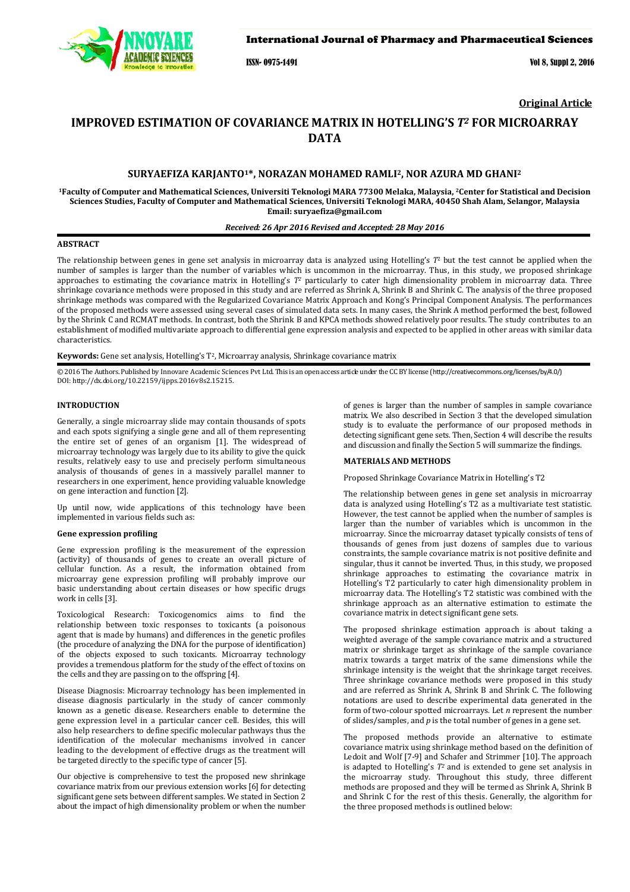

#### International Journal of Pharmacy and Pharmaceutical Sciences

ISSN- 0975-1491 Vol 8, Suppl 2, 2016

**Original Article**

# **IMPROVED ESTIMATION OF COVARIANCE MATRIX IN HOTELLING'S** *T<sup>2</sup>* **FOR MICROARRAY DATA**

# **SURYAEFIZA KARJANTO1\*, NORAZAN MOHAMED RAMLI2, NOR AZURA MD GHANI<sup>2</sup>**

**<sup>1</sup>Faculty of Computer and Mathematical Sciences, Universiti Teknologi MARA 77300 Melaka, Malaysia, 2Center for Statistical and Decision Sciences Studies, Faculty of Computer and Mathematical Sciences, Universiti Teknologi MARA, 40450 Shah Alam, Selangor, Malaysia Email: suryaefiza@gmail.com** 

# *Received: 26 Apr 2016 Revised and Accepted: 28 May 2016*

## **ABSTRACT**

The relationship between genes in gene set analysis in microarray data is analyzed using Hotelling's *T*2 but the test cannot be applied when the number of samples is larger than the number of variables which is uncommon in the microarray. Thus, in this study, we proposed shrinkage approaches to estimating the covariance matrix in Hotelling's T<sup>2</sup> particularly to cater high dimensionality problem in microarray data. Three shrinkage covariance methods were proposed in this study and are referred as Shrink A, Shrink B and Shrink C. The analysis of the three proposed shrinkage methods was compared with the Regularized Covariance Matrix Approach and Kong's Principal Component Analysis. The performances of the proposed methods were assessed using several cases of simulated data sets. In many cases, the Shrink A method performed the best, followed by the Shrink C and RCMAT methods. In contrast, both the Shrink B and KPCA methods showed relatively poor results. The study contributes to an establishment of modified multivariate approach to differential gene expression analysis and expected to be applied in other areas with similar data characteristics.

**Keywords:** Gene set analysis, Hotelling's T2, Microarray analysis, Shrinkage covariance matrix

© 2016 The Authors. Published by Innovare Academic Sciences Pvt Ltd. This is an open access article under the CC BY license (http://creativecommons.org/licenses/by/4.0/) DOI: http://dx.doi.org/10.22159/ijpps.2016v8s2.15215.

#### **INTRODUCTION**

Generally, a single microarray slide may contain thousands of spots and each spots signifying a single gene and all of them representing the entire set of genes of an organism [1]. The widespread of microarray technology was largely due to its ability to give the quick results, relatively easy to use and precisely perform simultaneous analysis of thousands of genes in a massively parallel manner to researchers in one experiment, hence providing valuable knowledge on gene interaction and function [2].

Up until now, wide applications of this technology have been implemented in various fields such as:

#### **Gene expression profiling**

Gene expression profiling is the measurement of the expression (activity) of thousands of genes to create an overall picture of cellular function. As a result, the information obtained from microarray gene expression profiling will probably improve our basic understanding about certain diseases or how specific drugs work in cells [3].

Toxicological Research: Toxicogenomics aims to find the relationship between toxic responses to toxicants (a poisonous agent that is made by humans) and differences in the genetic profiles (the procedure of analyzing the DNA for the purpose of identification) of the objects exposed to such toxicants. Microarray technology provides a tremendous platform for the study of the effect of toxins on the cells and they are passing on to the offspring [4].

Disease Diagnosis: Microarray technology has been implemented in disease diagnosis particularly in the study of cancer commonly known as a genetic disease. Researchers enable to determine the gene expression level in a particular cancer cell. Besides, this will also help researchers to define specific molecular pathways thus the identification of the molecular mechanisms involved in cancer leading to the development of effective drugs as the treatment will be targeted directly to the specific type of cancer [5].

Our objective is comprehensive to test the proposed new shrinkage covariance matrix from our previous extension works [6] for detecting significant gene sets between different samples. We stated in Section 2 about the impact of high dimensionality problem or when the number of genes is larger than the number of samples in sample covariance matrix. We also described in Section 3 that the developed simulation study is to evaluate the performance of our proposed methods in detecting significant gene sets. Then, Section 4 will describe the results and discussion and finally the Section 5 will summarize the findings.

# **MATERIALS AND METHODS**

Proposed Shrinkage Covariance Matrix in Hotelling's T2

The relationship between genes in gene set analysis in microarray data is analyzed using Hotelling's T2 as a multivariate test statistic. However, the test cannot be applied when the number of samples is larger than the number of variables which is uncommon in the microarray. Since the microarray dataset typically consists of tens of thousands of genes from just dozens of samples due to various constraints, the sample covariance matrix is not positive definite and singular, thus it cannot be inverted. Thus, in this study, we proposed shrinkage approaches to estimating the covariance matrix in Hotelling's T2 particularly to cater high dimensionality problem in microarray data. The Hotelling's T2 statistic was combined with the shrinkage approach as an alternative estimation to estimate the covariance matrix in detect significant gene sets.

The proposed shrinkage estimation approach is about taking a weighted average of the sample covariance matrix and a structured matrix or shrinkage target as shrinkage of the sample covariance matrix towards a target matrix of the same dimensions while the shrinkage intensity is the weight that the shrinkage target receives. Three shrinkage covariance methods were proposed in this study and are referred as Shrink A, Shrink B and Shrink C. The following notations are used to describe experimental data generated in the form of two-colour spotted microarrays. Let *n* represent the number of slides/samples, and *p* is the total number of genes in a gene set.

The proposed methods provide an alternative to estimate covariance matrix using shrinkage method based on the definition of Ledoit and Wolf [7-9] and Schafer and Strimmer [10]. The approach is adapted to Hotelling's  $T<sup>2</sup>$  and is extended to gene set analysis in the microarray study. Throughout this study, three different methods are proposed and they will be termed as Shrink A, Shrink B and Shrink C for the rest of this thesis. Generally, the algorithm for the three proposed methods is outlined below: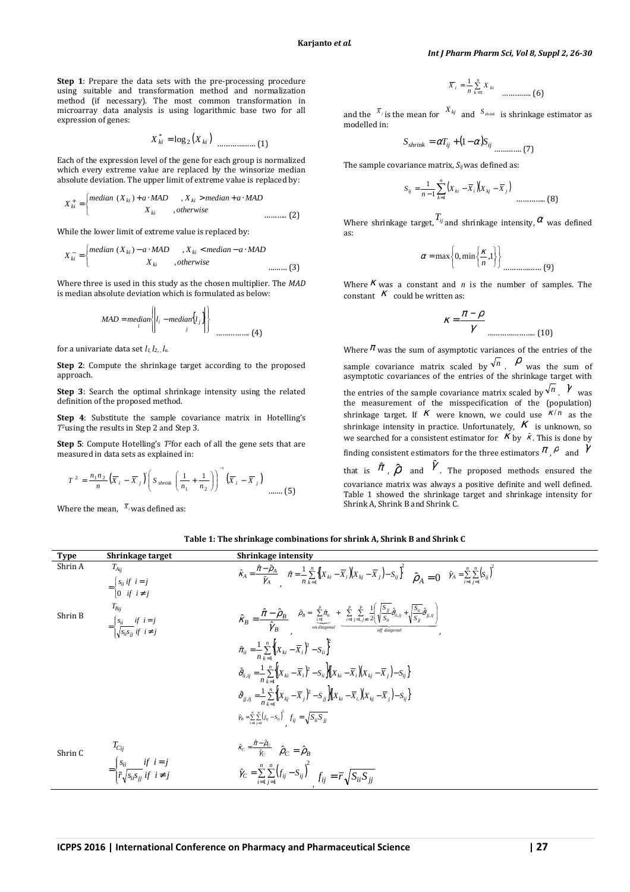**Step 1**: Prepare the data sets with the pre-processing procedure using suitable and transformation method and normalization method (if necessary). The most common transformation in microarray data analysis is using logarithmic base two for all expression of genes:

$$
X_{ki}^{*} = \log_2(X_{ki})
$$
 (1)

Each of the expression level of the gene for each group is normalized which every extreme value are replaced by the winsorize median absolute deviation. The upper limit of extreme value is replaced by:

$$
X_{ki}^{+} = \begin{cases} median (X_{ki}) + a \cdot MAD & , X_{ki} > median + a \cdot MAD \\ X_{ki} & , otherwise \end{cases}
$$
........(2)

While the lower limit of extreme value is replaced by:

 $\overline{a}$ 

$$
X_{ki}^{-} = \begin{cases} \text{median } (X_{ki}) - a \cdot \text{MAD} & , X_{ki} < \text{median} - a \cdot \text{MAD} \\ X_{ki} & , \text{otherwise} \end{cases}
$$
........(3)

Where three is used in this study as the chosen multiplier. The *MAD* is median absolute deviation which is formulated as below:

 $\overline{D}$ 

$$
MAD = median \left\{ \left| l_i - median \left\{ l_j \right\} \right| \right\}
$$
 \dots (4)

for a univariate data set *l1, l2,. , ln.*

**Step 2**: Compute the shrinkage target according to the proposed approach.

**Step 3**: Search the optimal shrinkage intensity using the related definition of the proposed method.

**Step 4**: Substitute the sample covariance matrix in Hotelling's *T2*using the results in Step 2 and Step 3.

**Step 5**: Compute Hotelling's *T<sup>2</sup>* for each of all the gene sets that are measured in data sets as explained in:

$$
T^2 = \frac{n_1 n_2}{n} \left( \overline{X}_i - \overline{X}_j \right) \left( S_{\text{shrink}} \left( \frac{1}{n_1} + \frac{1}{n_2} \right) \right)^{-1} \left( \overline{X}_i - \overline{X}_j \right) \dots \dots \dots \text{(5)}
$$

Where the mean,  $\bar{x}_i$  was defined as:

$$
\overline{X}_i = \frac{1}{n} \sum_{k=1}^n X_{ki}
$$
 ....... (6)

and the  $\overline{X}_j$  is the mean for  $\overline{X}_{kj}$  and  $S_{\text{shrink}}$  is shrinkage estimator as modelled in:

$$
S_{shrink} = \alpha T_{ij} + (1 - \alpha) S_{ij}
$$
 (7)

The sample covariance matrix, *Sij* was defined as:

$$
S_{ij} = \frac{1}{n-1} \sum_{k=1}^{n} (X_{ki} - \overline{X}_i)(X_{kj} - \overline{X}_j)
$$
 ....... (8)

Where shrinkage target,  $T_{ij}$  and shrinkage intensity,  $\alpha$  was defined as:

$$
\alpha = \max\left\{0, \min\left\{\frac{\kappa}{n}, 1\right\}\right\}
$$
................. (9)

Where  $K$  was a constant and  $n$  is the number of samples. The constant  $K$  could be written as:

$$
K = \frac{\pi - \rho}{\gamma}
$$
 (10)

Where  $\pi$  was the sum of asymptotic variances of the entries of the sample covariance matrix scaled by  $\sqrt{n}$  .  $\rho$  was the sum of asymptotic covariances of the entries of the shrinkage target with the entries of the sample covariance matrix scaled by  $\sqrt[n]{n}$ .  $\gamma$  was the measurement of the misspecification of the (population) shrinkage target. If  $\kappa$  were known, we could use  $\kappa/n$  as the shrinkage intensity in practice. Unfortunately,  $K$  is unknown, so we searched for a consistent estimator for  $K$  by  $\hat{k}$ . This is done by finding consistent estimators for the three estimators  $\pi$  ,  $\rho$  and  $\gamma$ 

that is  $\hat{\pi}$  ,  $\hat{\rho}$  and  $\hat{\gamma}$  . The proposed methods ensured the covariance matrix was always a positive definite and well defined. Table 1 showed the shrinkage target and shrinkage intensity for Shrink A, Shrink B and Shrink C.

**Table 1: The shrinkage combinations for shrink A, Shrink B and Shrink C** 

| <b>Type</b> | Shrinkage target                                                                                           | Shrinkage intensity                                                                                                                                                                                                                                                                                                                         |
|-------------|------------------------------------------------------------------------------------------------------------|---------------------------------------------------------------------------------------------------------------------------------------------------------------------------------------------------------------------------------------------------------------------------------------------------------------------------------------------|
| Shrin A     | $T_{Aij}$<br>$=\begin{cases} s_{ii} & i = j \\ 0 & if i \neq j \end{cases}$                                | $\hat{\kappa}_A = \frac{\hat{\pi} - \hat{\rho}_A}{\hat{\gamma}_A}$ $\hat{\pi} = \frac{1}{n} \sum_{k=1}^n \left\{ (X_{ki} - \overline{X}_i)(X_{kj} - \overline{X}_j) - S_{ij} \right\}^2$ $\hat{\rho}_A = 0$ $\hat{\gamma}_A = \sum_{i=1}^n \sum_{i=1}^n (S_{ij})^2$                                                                         |
| Shrin B     | $=\begin{cases} s_{ii} & if i=j \\ \int_{S \cup S \cup i} & if i \neq j \end{cases}$                       | $\hat{\mathcal{K}}_B = \frac{\hat{\pi} - \hat{\rho}_B}{\hat{\gamma}_B} \quad \hat{\rho}_B = \sum_{\substack{i=1 \ i \text{ odd}}}^{p} \hat{\pi}_{ii} + \sum_{i=1}^{p} \sum_{j=1, j \neq i}^{p} \frac{1}{2} \left( \sqrt{\frac{S_{jj}}{S_{ii}}}\hat{\partial}_{ii,ij} + \sqrt{\frac{S_{ii}}{S_{jj}}}\hat{\partial}_{jj,ij} \right)$          |
|             |                                                                                                            | $\hat{\pi}_{ii} = \frac{1}{n} \sum_{i=1}^{n} \left\{ (X_{ki} - \overline{X}_{i})^{2} - S_{ii} \right\}^{2}$                                                                                                                                                                                                                                 |
|             |                                                                                                            | $\hat{\vartheta}_{ii,ij}=\frac{1}{n}\sum_{i}^{n}\left\{\!\!\left\{\boldsymbol{X}_{ki}-\boldsymbol{\overline{X}}_{i}\right\}^{2}-\boldsymbol{S}_{ii}\right\}\!\!\left[\!\!\left\{\boldsymbol{X}_{ki}-\boldsymbol{\overline{X}}_{i}\right)\!\!\left\{\boldsymbol{X}_{kj}-\boldsymbol{\overline{X}}_{j}\right\}\!-\boldsymbol{S}_{ij}\right\}$ |
|             |                                                                                                            | $\hat{\vartheta}_{jj,ij} = \frac{1}{n} \sum_{i=1}^{n} \left\{ (X_{kj} - \overline{X}_{j})^{2} - S_{jj} \right\} \left[ (X_{ki} - \overline{X}_{i}) (X_{kj} - \overline{X}_{j}) - S_{ij} \right]$                                                                                                                                            |
|             |                                                                                                            | $\hat{\gamma}_B = \sum_{i=1}^n \sum_{j=1}^n (f_{ij} - S_{ij})^2$ $f_{ij} = \sqrt{S_{ii}S_{jj}}$                                                                                                                                                                                                                                             |
| Shrin C     |                                                                                                            | $\hat{\kappa}_C = \frac{\hat{\pi} - \hat{\rho}_C}{\hat{\gamma}_C} \quad \hat{\rho}_C = \hat{\rho}_B$                                                                                                                                                                                                                                        |
|             | $T_{Cij}$<br>= $\begin{cases} s_{ii} & if i = j \\ \bar{r} \sqrt{s_{ii} s_{jj}} & if i \neq j \end{cases}$ | $\hat{\gamma}_C = \sum_{i=1}^n \sum_{j=1}^n \left(f_{ij} - S_{ij}\right)^2 \quad f_{ij} = \overline{r} \sqrt{S_{ii} S_{jj}}$                                                                                                                                                                                                                |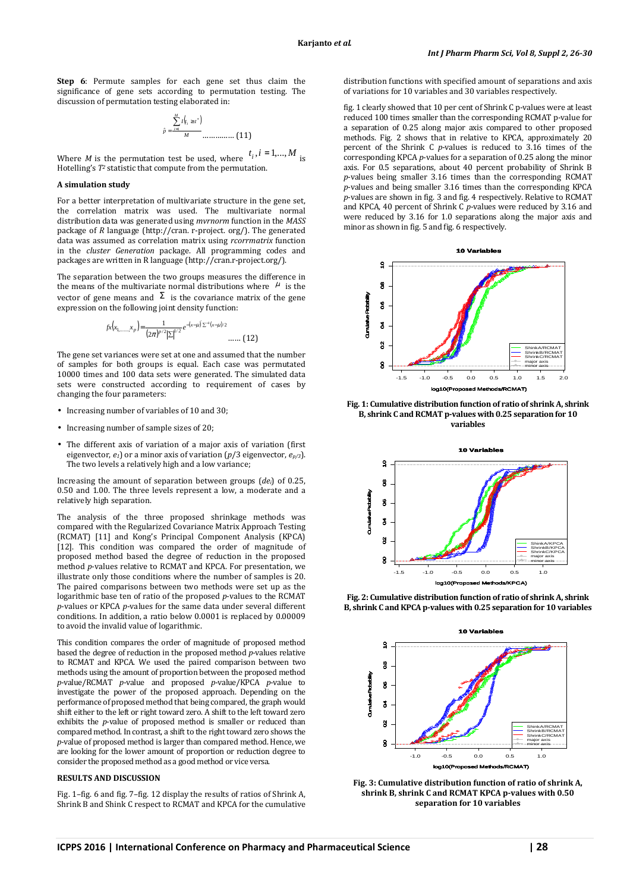**Step 6**: Permute samples for each gene set thus claim the significance of gene sets according to permutation testing. The discussion of permutation testing elaborated in:

$$
\hat{p} = \frac{\sum_{i=1}^{M} I(t_i \geq t^*)}{M} \dots \dots \dots \dots \dots \tag{11}
$$

Where *M* is the permutation test be used, where  $t_i, i = 1,...,M$  is Hotelling's  $T^2$  statistic that compute from the permutation.

#### **A simulation study**

For a better interpretation of multivariate structure in the gene set, the correlation matrix was used. The multivariate normal distribution data was generated using *mvrnorm* function in the *MASS* package of *R* language (http://cran. r-project. org/). The generated data was assumed as correlation matrix using *rcorrmatrix* function in the *cluster Generation* package. All programming codes and packages are written in R language (http://cran.r-project.org/).

The separation between the two groups measures the difference in the means of the multivariate normal distributions where  $\mu$  is the vector of gene means and  $\Sigma$  is the covariance matrix of the gene expression on the following joint density function:

$$
f_{x}(x_{1, \dots, x_{p}}) = \frac{1}{(2\pi)^{p/2} |\Sigma|^{1/2}} e^{-(x-\mu) \sum_{i=1}^{p} (x-\mu)/2}
$$
 ...... (12)

The gene set variances were set at one and assumed that the number of samples for both groups is equal. Each case was permutated 10000 times and 100 data sets were generated. The simulated data sets were constructed according to requirement of cases by changing the four parameters:

- Increasing number of variables of 10 and 30;
- Increasing number of sample sizes of 20;
- The different axis of variation of a major axis of variation (first eigenvector, *e1*) or a minor axis of variation (*p*/3 eigenvector, *ep/3*). The two levels a relatively high and a low variance;

Increasing the amount of separation between groups (*dei*) of 0.25, 0.50 and 1.00. The three levels represent a low, a moderate and a relatively high separation.

The analysis of the three proposed shrinkage methods was compared with the Regularized Covariance Matrix Approach Testing (RCMAT) [11] and Kong's Principal Component Analysis (KPCA) [12]. This condition was compared the order of magnitude of proposed method based the degree of reduction in the proposed method *p*-values relative to RCMAT and KPCA. For presentation, we illustrate only those conditions where the number of samples is 20. The paired comparisons between two methods were set up as the logarithmic base ten of ratio of the proposed *p*-values to the RCMAT *p*-values or KPCA *p*-values for the same data under several different conditions. In addition, a ratio below 0.0001 is replaced by 0.00009 to avoid the invalid value of logarithmic.

This condition compares the order of magnitude of proposed method based the degree of reduction in the proposed method *p*-values relative to RCMAT and KPCA. We used the paired comparison between two methods using the amount of proportion between the proposed method *p*-value/RCMAT *p*-value and proposed *p*-value/KPCA *p*-value to investigate the power of the proposed approach. Depending on the performance of proposed method that being compared, the graph would shift either to the left or right toward zero. A shift to the left toward zero exhibits the *p*-value of proposed method is smaller or reduced than compared method. In contrast, a shift to the right toward zero shows the *p*-value of proposed method is larger than compared method. Hence, we are looking for the lower amount of proportion or reduction degree to consider the proposed method as a good method or vice versa.

#### **RESULTS AND DISCUSSION**

Fig. 1–fig. 6 and fig. 7–fig. 12 display the results of ratios of Shrink A, Shrink B and Shink C respect to RCMAT and KPCA for the cumulative distribution functions with specified amount of separations and axis of variations for 10 variables and 30 variables respectively.

fig. 1 clearly showed that 10 per cent of Shrink C p-values were at least reduced 100 times smaller than the corresponding RCMAT p-value for a separation of 0.25 along major axis compared to other proposed methods. Fig. 2 shows that in relative to KPCA, approximately 20 percent of the Shrink C *p*-values is reduced to 3.16 times of the corresponding KPCA *p*-values for a separation of 0.25 along the minor axis. For 0.5 separations, about 40 percent probability of Shrink B *p*-values being smaller 3.16 times than the corresponding RCMAT *p*-values and being smaller 3.16 times than the corresponding KPCA *p*-values are shown in fig. 3 and fig. 4 respectively. Relative to RCMAT and KPCA, 40 percent of Shrink C *p*-values were reduced by 3.16 and were reduced by 3.16 for 1.0 separations along the major axis and minor as shown in fig. 5 and fig. 6 respectively.



**Fig. 1: Cumulative distribution function of ratio of shrink A, shrink B, shrink C and RCMAT p-values with 0.25 separation for 10 variables** 



**Fig. 2: Cumulative distribution function of ratio of shrink A, shrink B, shrink C and KPCA p-values with 0.25 separation for 10 variables** 



**Fig. 3: Cumulative distribution function of ratio of shrink A, shrink B, shrink C and RCMAT KPCA p-values with 0.50 separation for 10 variables**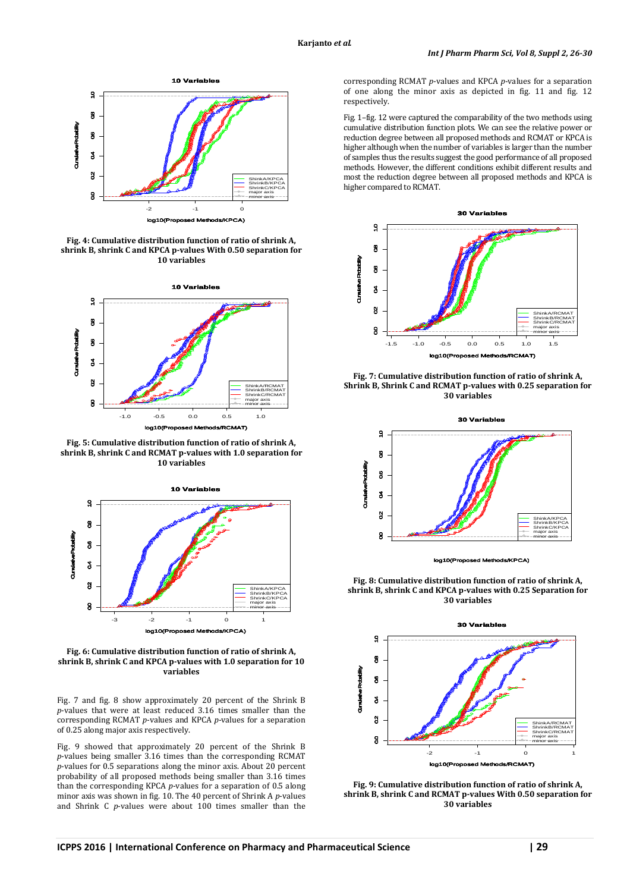

**Fig. 4: Cumulative distribution function of ratio of shrink A, shrink B, shrink C and KPCA p-values With 0.50 separation for 10 variables** 



**Fig. 5: Cumulative distribution function of ratio of shrink A, shrink B, shrink C and RCMAT p-values with 1.0 separation for 10 variables** 



**Fig. 6: Cumulative distribution function of ratio of shrink A, shrink B, shrink C and KPCA p-values with 1.0 separation for 10 variables** 

Fig. 7 and fig. 8 show approximately 20 percent of the Shrink B *p*-values that were at least reduced 3.16 times smaller than the corresponding RCMAT *p*-values and KPCA *p*-values for a separation of 0.25 along major axis respectively.

Fig. 9 showed that approximately 20 percent of the Shrink B *p*-values being smaller 3.16 times than the corresponding RCMAT *p*-values for 0.5 separations along the minor axis. About 20 percent probability of all proposed methods being smaller than 3.16 times than the corresponding KPCA *p*-values for a separation of 0.5 along minor axis was shown in fig. 10. The 40 percent of Shrink A *p*-values and Shrink C *p*-values were about 100 times smaller than the

corresponding RCMAT *p*-values and KPCA *p*-values for a separation of one along the minor axis as depicted in fig. 11 and fig. 12 respectively.

Fig. 1–fig. 12 were captured the comparability of the two methods using cumulative distribution function plots. We can see the relative power or reduction degree between all proposed methods and RCMAT or KPCA is higher although when the number of variables is larger than the number of samples thus the results suggest the good performance of all proposed methods. However, the different conditions exhibit different results and most the reduction degree between all proposed methods and KPCA is higher compared to RCMAT.



**Fig. 7: Cumulative distribution function of ratio of shrink A, Shrink B, Shrink C and RCMAT p-values with 0.25 separation for 30 variables** 



log10(Proposed Methods/KPCA)

**Fig. 8: Cumulative distribution function of ratio of shrink A, shrink B, shrink C and KPCA p-values with 0.25 Separation for 30 variables** 



**Fig. 9: Cumulative distribution function of ratio of shrink A, shrink B, shrink C and RCMAT p-values With 0.50 separation for 30 variables**